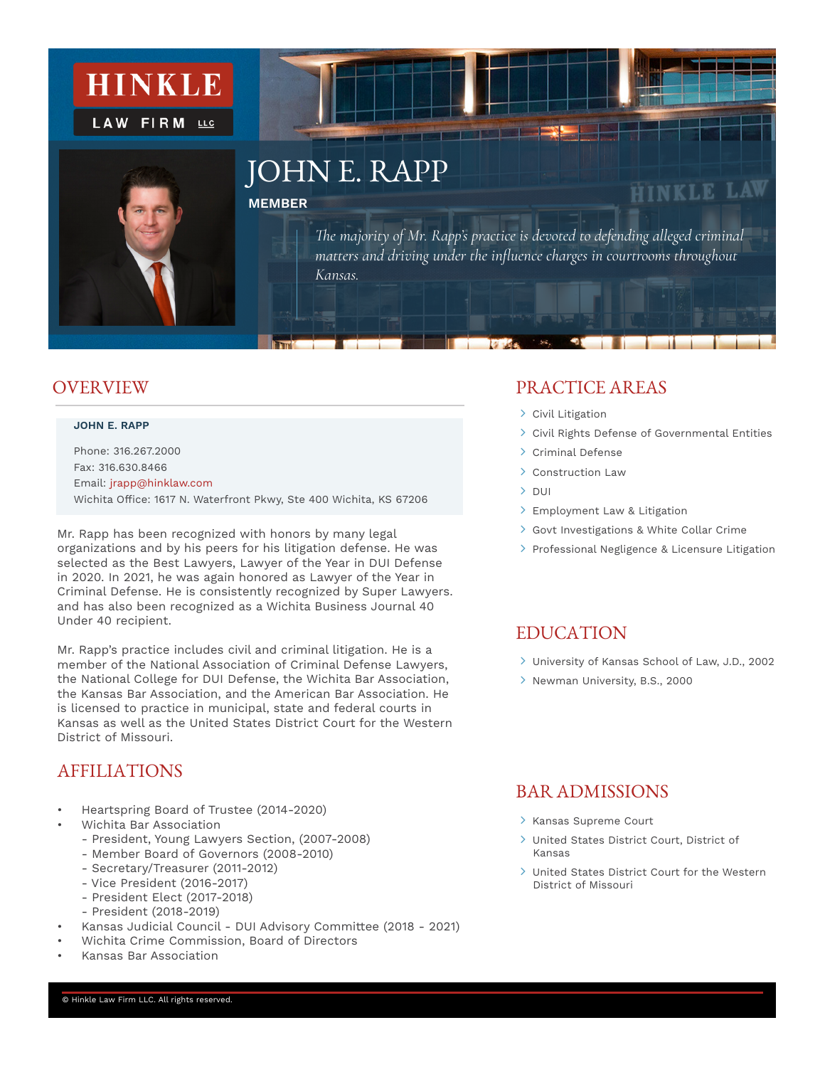

### **OVER VIEW**

#### **JOHN E. RAPP**

Phone: 316.267.2000 Fax: 316.630.8466 Email: jrapp@hinklaw.com Wichita Office: 1617 N. Waterfront Pkwy, Ste 400 Wichita, KS 67206

Mr. Rapp has been recognized with honors by many legal organizations and by his peers for his litigation defense. He was selected as the Best Lawyers, Lawyer of the Year in DUI Defense in 2020. In 2021, he was again honored as Lawyer of the Year in Criminal Defense. He is consistently recognized by Super Lawyers. and has also been recognized as a Wichita Business Journal 40 Under 40 recipient.

Mr. Rapp's practice includes civil and criminal litigation. He is a member of the National Association of Criminal Defense Lawyers, the National College for DUI Defense, the Wichita Bar Association, the Kansas Bar Association, and the American Bar Association. He is licensed to practice in municipal, state and federal courts in Kansas as well as the United States District Court for the Western District of Missouri.

### AFFILIATIONS

- Heartspring Board of Trustee (2014-2020)
- Wichita Bar Association
	- President, Young Lawyers Section, (2007-2008)
	- Member Board of Governors (2008-2010)
	- Secretary/Treasurer (2011-2012)
	- Vice President (2016-2017)
	- President Elect (2017-2018)
	- President (2018-2019)
	- Kansas Judicial Council DUI Advisory Committee (2018 2021)
- Wichita Crime Commission, Board of Directors
- Kansas Bar Association

### PRACTICE AREAS

- > Civil Litigation
- Civil Rights Defense of Governmental Entities
- > Criminal Defense
- > Construction Law
- $>$  DUI
- > Employment Law & Litigation
- Govt Investigations & White Collar Crime
- > Professional Negligence & Licensure Litigation

### **EDUCATION**

- University of Kansas School of Law, J.D., 2002
- > Newman University, B.S., 2000

### BAR ADMISSIONS

- > Kansas Supreme Court
- United States District Court, District of Kansas
- United States District Court for the Western District of Missouri